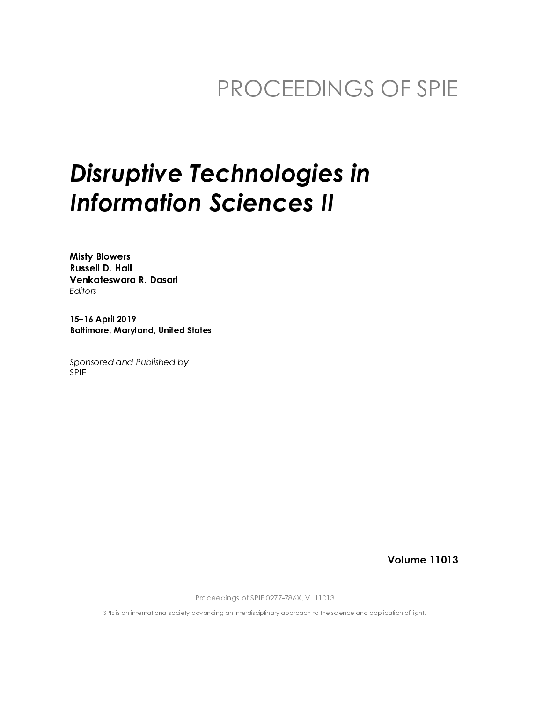# PROCEEDINGS OF SPIE

# **Disruptive Technologies in Information Sciences II**

**Misty Blowers Russell D. Hall** Venkateswara R. Dasari Editors

15-16 April 2019 **Baltimore, Maryland, United States** 

Sponsored and Published by **SPIF** 

**Volume 11013** 

Proceedings of SPIE 0277-786X, V. 11013

SPIE is an international society advancing an interdisciplinary approach to the science and application of light.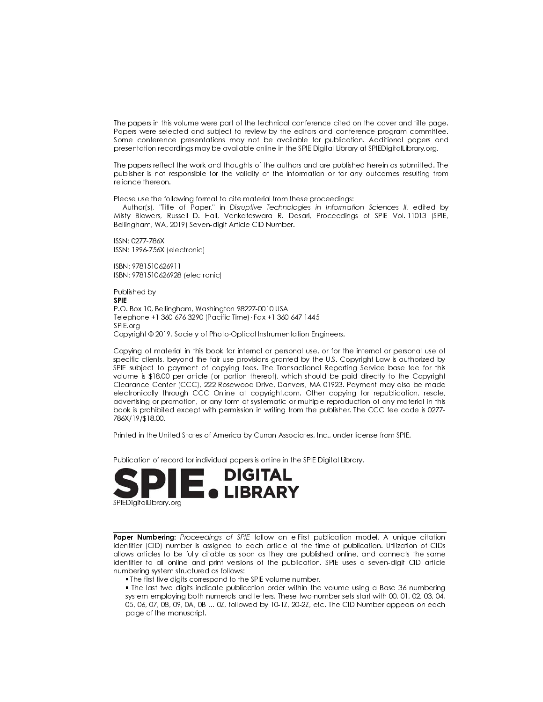The papers in this volume were part of the technical conference cited on the cover and title page. Papers were selected and subject to review by the editors and conference program committee. Some conference presentations may not be available for publication. Additional papers and presentation recordings may be available online in the SPIE Digital Library at SPIEDigital Library org.

The papers reflect the work and thoughts of the authors and are published herein as submitted. The publisher is not responsible for the validity of the information or for any outcomes resulting from reliance thereon.

Please use the following format to cite material from these proceedings:

Author(s), "Title of Paper," in Disruptive Technologies in Information Sciences II, edited by Misty Blowers, Russell D. Hall, Venkateswara R. Dasari, Proceedings of SPIE Vol. 11013 (SPIE, Bellingham, WA, 2019) Seven-digit Article CID Number.

ISSN: 0277-786X ISSN: 1996-756X (electronic)

ISBN: 9781510626911 ISBN: 9781510626928 (electronic)

Published by **SPIF** P.O. Box 10, Bellingham, Washington 98227-0010 USA Telephone +1 360 676 3290 (Pacific Time) · Fax +1 360 647 1445 SPIE.org Copyright © 2019, Society of Photo-Optical Instrumentation Engineers.

Copying of material in this book for internal or personal use, or for the internal or personal use of specific clients, beyond the fair use provisions granted by the U.S. Copyright Law is authorized by SPIE subject to payment of copying fees. The Transactional Reporting Service base fee for this volume is \$18.00 per article (or portion thereof), which should be paid directly to the Copyright Clearance Center (CCC), 222 Rosewood Drive, Danvers, MA 01923. Payment may also be made electronically through CCC Online at copyright.com. Other copying for republication, resale, advertising or promotion, or any form of systematic or multiple reproduction of any material in this book is prohibited except with permission in writing from the publisher. The CCC fee code is 0277-786X/19/\$18.00.

Printed in the United States of America by Curran Associates, Inc., under license from SPIE.

Publication of record for individual papers is online in the SPIE Digital Library.



Paper Numbering: Proceedings of SPIE follow an e-First publication model. A unique citation identifier (CID) number is assigned to each article at the time of publication. Utilization of CIDs allows articles to be fully citable as soon as they are published online, and connects the same identifier to all online and print versions of the publication. SPIE uses a seven-digit CID article numbering system structured as follows:

. The first five digits correspond to the SPIE volume number.

• The last two digits indicate publication order within the volume using a Base 36 numbering system employing both numerals and letters. These two-number sets start with 00, 01, 02, 03, 04, 05, 06, 07, 08, 09, 0A, 0B ... 0Z, followed by 10-1Z, 20-2Z, etc. The CID Number appears on each page of the manuscript.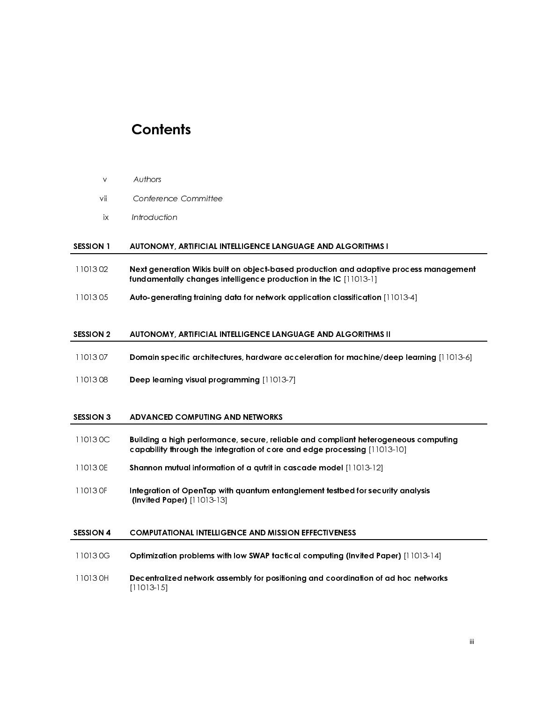## **Contents**

- 
- 

# SESSION 1 AUTONOMY, ARTIFICIAL INTELLIGENCE LANGUAGE AND ALGORITHMS I

- vii Confere<br>
ix Introduc<br>
SESSION 1 AUTONO<br>
1101302 Next gen<br>
fundame<br>
1101305 Auto-ger<br>
SESSION 2 AUTONO<br>
1101307 Domain s<br>
1101307 Domain s ix Introduction<br>
SESSION 1 AUTONOMY, ARTIFICIAL IN<br>
11013.02 Next generation Wikis bui<br>
fundamentally changes in<br>
11013.05 Auto-generating training<br>
SESSION 2 AUTONOMY, ARTIFICIAL IN<br>
11013.07 Domain specific architect<br>
11 SESSION 1 AUTONOMY,<br>
1101302 Next generation<br>
fundamental<br>
1101305 Auto-generation<br>
SESSION 2 AUTONOMY,<br>
1101307 Domain spec<br>
1101308 Deep learning<br>
SESSION 3 ADVANCED C<br>
110130C Building a hig 11013 02 Next generation Wikis built on object-based production and adaptive process management fundamentally changes intelligence production in the IC [11013-1]
- 11013 05 Auto-generating training data for network application classification [11013-4]

### SESSION 2 AUTONOMY, ARTIFICIAL INTELLIGENCE LANGUAGE AND ALGORITHMS II

- 11013 07 Domain specific architectures, hardware acceleration for machine/deep learning [11013-6]
- 11013 08 Deep learning visual programming [11013-7]

### SESSION 3 ADVANCED COMPUTING AND NETWORKS

- 11013 0C Building a high performance, secure, reliable and compliant heterogeneous computing capability through the integration of core and edge processing [11013-10]
- 11013 0E Shannon mutual information of a qutrit in cascade model [11013-12]
- 11013 OF Integration of OpenTap with quantum entanglement testbed for security analysis (Invited Paper) [11013-13]

### SESSION 4 COMPUTATIONAL INTELLIGENCE AND MISSION EFFECTIVENESS

- 11013 0G Optimization problems with low SWAP tactical computing (Invited Paper) [11013-14]
- 11013 0H Decentralized network assembly for positioning and coordination of ad hoc networks [11013-15]